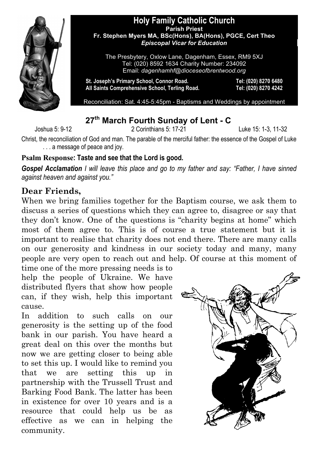

#### **Holy Family Catholic Church Parish Priest Fr. Stephen Myers MA, BSc(Hons), BA(Hons), PGCE, Cert Theo** *Episcopal Vicar for Education*

The Presbytery, Oxlow Lane, Dagenham, Essex, RM9 5XJ Tel: (020) 8592 1634 Charity Number: 234092 Email: *dagenhamhf@dioceseofbrentwood.org*

**St. Joseph's Primary School, Connor Road. Tel: (020) 8270 6480 All Saints Comprehensive School, Terling Road. Tel: (020) 8270 4242**

Reconciliation: Sat. 4:45-5:45pm - Baptisms and Weddings by appointment

## **27th March Fourth Sunday of Lent - C**

Joshua 5: 9-12 2 Corinthians 5: 17-21 Luke 15: 1-3, 11-32

Christ, the reconciliation of God and man. The parable of the merciful father: the essence of the Gospel of Luke . . . a message of peace and joy.

#### **Psalm Response: Taste and see that the Lord is good.**

*Gospel Acclamation I will leave this place and go to my father and say: "Father, I have sinned against heaven and against you."*

## **Dear Friends,**

When we bring families together for the Baptism course, we ask them to discuss a series of questions which they can agree to, disagree or say that they don't know. One of the questions is "charity begins at home" which most of them agree to. This is of course a true statement but it is important to realise that charity does not end there. There are many calls on our generosity and kindness in our society today and many, many people are very open to reach out and help. Of course at this moment of

time one of the more pressing needs is to help the people of Ukraine. We have distributed flyers that show how people can, if they wish, help this important cause.

In addition to such calls on our generosity is the setting up of the food bank in our parish. You have heard a great deal on this over the months but now we are getting closer to being able to set this up. I would like to remind you that we are setting this up in partnership with the Trussell Trust and Barking Food Bank. The latter has been in existence for over 10 years and is a resource that could help us be as effective as we can in helping the community.

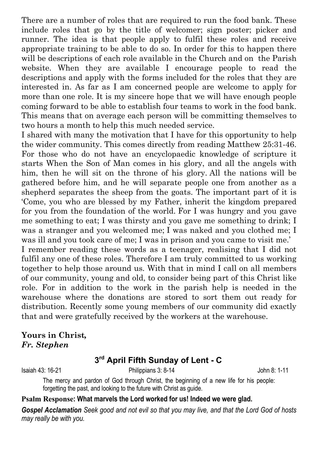There are a number of roles that are required to run the food bank. These include roles that go by the title of welcomer; sign poster; picker and runner. The idea is that people apply to fulfil these roles and receive appropriate training to be able to do so. In order for this to happen there will be descriptions of each role available in the Church and on the Parish website. When they are available I encourage people to read the descriptions and apply with the forms included for the roles that they are interested in. As far as I am concerned people are welcome to apply for more than one role. It is my sincere hope that we will have enough people coming forward to be able to establish four teams to work in the food bank. This means that on average each person will be committing themselves to two hours a month to help this much needed service.

I shared with many the motivation that I have for this opportunity to help the wider community. This comes directly from reading Matthew 25:31-46. For those who do not have an encyclopaedic knowledge of scripture it starts When the Son of Man comes in his glory, and all the angels with him, then he will sit on the throne of his glory. All the nations will be gathered before him, and he will separate people one from another as a shepherd separates the sheep from the goats. The important part of it is 'Come, you who are blessed by my Father, inherit the kingdom prepared for you from the foundation of the world. For I was hungry and you gave me something to eat; I was thirsty and you gave me something to drink; I was a stranger and you welcomed me; I was naked and you clothed me; I was ill and you took care of me; I was in prison and you came to visit me.'

I remember reading these words as a teenager, realising that I did not fulfil any one of these roles. Therefore I am truly committed to us working together to help those around us. With that in mind I call on all members of our community, young and old, to consider being part of this Christ like role. For in addition to the work in the parish help is needed in the warehouse where the donations are stored to sort them out ready for distribution. Recently some young members of our community did exactly that and were gratefully received by the workers at the warehouse.

**Yours in Christ***, Fr. Stephen*

# **3rd April Fifth Sunday of Lent - C**

Isaiah 43: 16-21 Philippians 3: 8-14 John 8: 1-11

The mercy and pardon of God through Christ, the beginning of a new life for his people: forgetting the past, and looking to the future with Christ as guide.

#### **Psalm Response: What marvels the Lord worked for us! Indeed we were glad.**

*Gospel Acclamation Seek good and not evil so that you may live, and that the Lord God of hosts may really be with you.*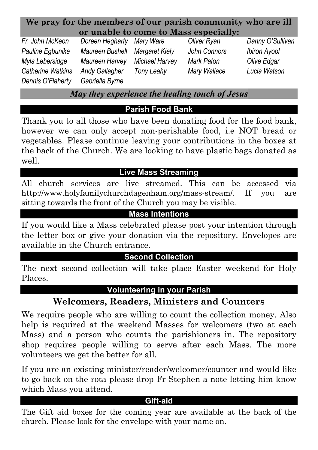### **We pray for the members of our parish community who are ill or unable to come to Mass especially:**

*Dennis O'Flaherty Gabriella Byrne*

*Fr. John McKeon Doreen Hegharty Mary Ware Oliver Ryan Danny O'Sullivan Pauline Egbunike Maureen Bushell Margaret Kiely John Connors Ibiron Ayool Myla Lebersidge Maureen Harvey Michael Harvey Mark Paton Olive Edgar Catherine Watkins Andy Gallagher Tony Leahy Mary Wallace Lucia Watson*

*May they experience the healing touch of Jesus*

# **Parish Food Bank**

Thank you to all those who have been donating food for the food bank, however we can only accept non-perishable food, i.e NOT bread or vegetables. Please continue leaving your contributions in the boxes at the back of the Church. We are looking to have plastic bags donated as well.

## **Live Mass Streaming**

All church services are live streamed. This can be accessed via http://www.holyfamilychurchdagenham.org/mass-stream/. If you are sitting towards the front of the Church you may be visible.

## **Mass Intentions**

If you would like a Mass celebrated please post your intention through the letter box or give your donation via the repository. Envelopes are available in the Church entrance.

### **Second Collection**

The next second collection will take place Easter weekend for Holy Places.

### **Volunteering in your Parish**

# **Welcomers, Readers, Ministers and Counters**

We require people who are willing to count the collection money. Also help is required at the weekend Masses for welcomers (two at each Mass) and a person who counts the parishioners in. The repository shop requires people willing to serve after each Mass. The more volunteers we get the better for all.

If you are an existing minister/reader/welcomer/counter and would like to go back on the rota please drop Fr Stephen a note letting him know which Mass you attend.

#### **Gift-aid**

The Gift aid boxes for the coming year are available at the back of the church. Please look for the envelope with your name on.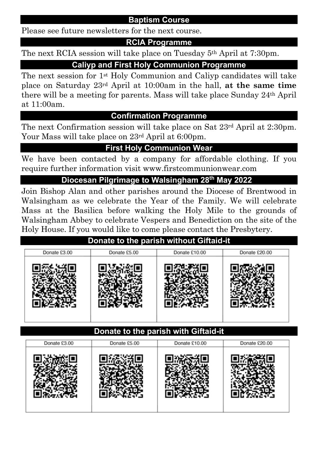### **Baptism Course**

Please see future newsletters for the next course.

### **RCIA Programme**

The next RCIA session will take place on Tuesday 5th April at 7:30pm.

### **Caliyp and First Holy Communion Programme**

The next session for 1st Holy Communion and Caliyp candidates will take place on Saturday 23rd April at 10:00am in the hall, **at the same time** there will be a meeting for parents. Mass will take place Sunday 24th April at 11:00am.

#### **Confirmation Programme**

The next Confirmation session will take place on Sat 23rd April at 2:30pm. Your Mass will take place on 23rd April at 6:00pm.

### **First Holy Communion Wear**

We have been contacted by a company for affordable clothing. If you require further information visit www.firstcommunionwear.com

### **Diocesan Pilgrimage to Walsingham 28th May 2022:**

Join Bishop Alan and other parishes around the Diocese of Brentwood in Walsingham as we celebrate the Year of the Family. We will celebrate Mass at the Basilica before walking the Holy Mile to the grounds of Walsingham Abbey to celebrate Vespers and Benediction on the site of the Holy House. If you would like to come please contact the Presbytery.

### **Donate to the parish without Giftaid-it**

| Donate £3.00 | Donate £5.00 | Donate £10.00 | Donate £20.00 |
|--------------|--------------|---------------|---------------|
|              |              |               |               |

### **Donate to the parish with Giftaid-it**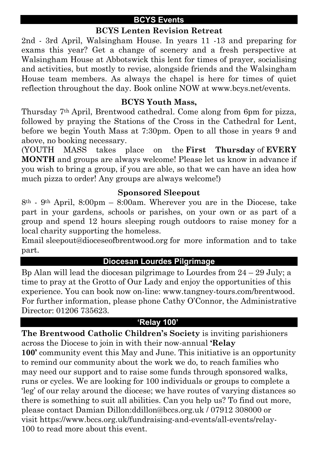#### **BCYS Events**

### **BCYS Lenten Revision Retreat**

2nd - 3rd April, Walsingham House. In years 11 -13 and preparing for exams this year? Get a change of scenery and a fresh perspective at Walsingham House at Abbotswick this lent for times of prayer, socialising and activities, but mostly to revise, alongside friends and the Walsingham House team members. As always the chapel is here for times of quiet reflection throughout the day. Book online NOW at www.bcys.net/events.

#### **BCYS Youth Mass,**

Thursday 7th April, Brentwood cathedral. Come along from 6pm for pizza, followed by praying the Stations of the Cross in the Cathedral for Lent, before we begin Youth Mass at 7:30pm. Open to all those in years 9 and above, no booking necessary.

(YOUTH MASS takes place on the **First Thursday** of **EVERY MONTH** and groups are always welcome! Please let us know in advance if you wish to bring a group, if you are able, so that we can have an idea how much pizza to order! Any groups are always welcome!)

#### **Sponsored Sleepout**

8th - 9th April, 8:00pm – 8:00am. Wherever you are in the Diocese, take part in your gardens, schools or parishes, on your own or as part of a group and spend 12 hours sleeping rough outdoors to raise money for a local charity supporting the homeless.

Email sleepout@dioceseofbrentwood.org for more information and to take part.

#### **Diocesan Lourdes Pilgrimage**

Bp Alan will lead the diocesan pilgrimage to Lourdes from  $24 - 29$  July; a time to pray at the Grotto of Our Lady and enjoy the opportunities of this experience. You can book now on-line: www.tangney-tours.com/brentwood. For further information, please phone Cathy O'Connor, the Administrative Director: 01206 735623.

#### **'Relay 100'**

**The Brentwood Catholic Children's Society** is inviting parishioners across the Diocese to join in with their now-annual **'Relay 100'** community event this May and June. This initiative is an opportunity to remind our community about the work we do, to reach families who may need our support and to raise some funds through sponsored walks, runs or cycles. We are looking for 100 individuals or groups to complete a 'leg' of our relay around the diocese; we have routes of varying distances so there is something to suit all abilities. Can you help us? To find out more, please contact Damian Dillon:ddillon@bccs.org.uk / 07912 308000 or visit https://www.bccs.org.uk/fundraising-and-events/all-events/relay-100 to read more about this event.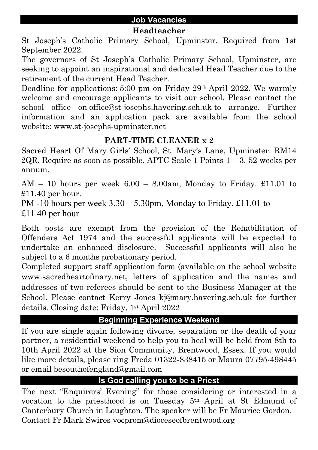#### **Headteacher**

St Joseph's Catholic Primary School, Upminster. Required from 1st September 2022.

The governors of St Joseph's Catholic Primary School, Upminster, are seeking to appoint an inspirational and dedicated Head Teacher due to the retirement of the current Head Teacher.

Deadline for applications: 5:00 pm on Friday 29<sup>th</sup> April 2022. We warmly welcome and encourage applicants to visit our school. Please contact the school office on office@st-josephs.havering.sch.uk to arrange. Further information and an application pack are available from the school website: www.st-josephs-upminster.net

## **PART-TIME CLEANER x 2**

Sacred Heart Of Mary Girls' School, St. Mary's Lane, Upminster. RM14 2QR. Require as soon as possible. APTC Scale 1 Points  $1 - 3$ . 52 weeks per annum.

 $AM - 10$  hours per week  $6.00 - 8.00$ am, Monday to Friday. £11.01 to  $£11.40$  per hour.

PM -10 hours per week  $3.30 - 5.30$  pm, Monday to Friday. £11.01 to £11.40 per hour

Both posts are exempt from the provision of the Rehabilitation of Offenders Act 1974 and the successful applicants will be expected to undertake an enhanced disclosure. Successful applicants will also be subject to a 6 months probationary period.

Completed support staff application form (available on the school website www.sacredheartofmary.net, letters of application and the names and addresses of two referees should be sent to the Business Manager at the School. Please contact Kerry Jones kj@mary.havering.sch.uk for further details. Closing date: Friday, 1st April 2022

# **Beginning Experience Weekend**

If you are single again following divorce, separation or the death of your partner, a residential weekend to help you to heal will be held from 8th to 10th April 2022 at the Sion Community, Brentwood, Essex. If you would like more details, please ring Freda 01322-838415 or Maura 07795-498445 or email besouthofengland@gmail.com

# **Is God calling you to be a Priest**

The next "Enquirers' Evening" for those considering or interested in a vocation to the priesthood is on Tuesday 5th April at St Edmund of Canterbury Church in Loughton. The speaker will be Fr Maurice Gordon. Contact Fr Mark Swires vocprom@dioceseofbrentwood.org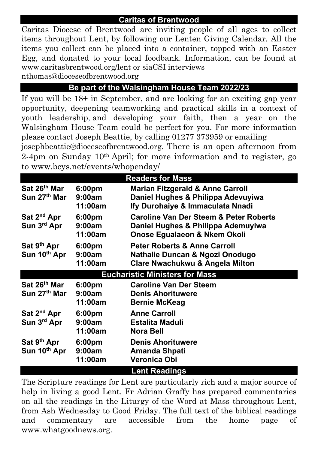Caritas Diocese of Brentwood are inviting people of all ages to collect items throughout Lent, by following our Lenten Giving Calendar. All the items you collect can be placed into a container, topped with an Easter Egg, and donated to your local foodbank. Information, can be found at www.caritasbrentwood.org/lent or siaCSI interviews

nthomas@dioceseofbrentwood.org

## **Be part of the Walsingham House Team 2022/23**

If you will be 18+ in September, and are looking for an exciting gap year opportunity, deepening teamworking and practical skills in a context of youth leadership, and developing your faith, then a year on the Walsingham House Team could be perfect for you. For more information please contact Joseph Beattie, by calling 01277 373959 or emailing

josephbeattie@dioceseofbrentwood.org. There is an open afternoon from 2-4pm on Sunday 10th April; for more information and to register, go to www.bcys.net/events/whopenday/

| <b>Readers for Mass</b>                  |                                         |                                                                                                                          |  |  |  |  |
|------------------------------------------|-----------------------------------------|--------------------------------------------------------------------------------------------------------------------------|--|--|--|--|
| Sat 26 <sup>th</sup> Mar<br>Sun 27th Mar | 6:00pm<br>9:00am<br>11:00am             | <b>Marian Fitzgerald &amp; Anne Carroll</b><br>Daniel Hughes & Philippa Adevuyiwa<br>Ify Durohaiye & Immaculata Nnadi    |  |  |  |  |
| Sat 2 <sup>nd</sup> Apr<br>Sun 3rd Apr   | 6:00pm<br>9:00am<br>11:00am             | <b>Caroline Van Der Steem &amp; Peter Roberts</b><br>Daniel Hughes & Philippa Ademuyiwa<br>Onose Egualaeon & Nkem Okoli  |  |  |  |  |
| Sat 9 <sup>th</sup> Apr<br>Sun 10th Apr  | 6:00 <sub>pm</sub><br>9:00am<br>11:00am | <b>Peter Roberts &amp; Anne Carroll</b><br>Nathalie Duncan & Ngozi Onodugo<br><b>Clare Nwachukwu &amp; Angela Milton</b> |  |  |  |  |
| <b>Eucharistic Ministers for Mass</b>    |                                         |                                                                                                                          |  |  |  |  |
| Sat 26 <sup>th</sup> Mar<br>Sun 27th Mar | 6:00 <sub>pm</sub><br>9:00am<br>11:00am | <b>Caroline Van Der Steem</b><br><b>Denis Ahorituwere</b><br><b>Bernie McKeag</b>                                        |  |  |  |  |
| Sat 2 <sup>nd</sup> Apr<br>Sun 3rd Apr   | 6:00pm<br>9:00am<br>11:00am             | <b>Anne Carroll</b><br>Estalita Maduli<br><b>Nora Bell</b>                                                               |  |  |  |  |
| Sat 9 <sup>th</sup> Apr<br>Sun 10th Apr  | 6:00 <sub>pm</sub><br>9:00am<br>11:00am | <b>Denis Ahorituwere</b><br>Amanda Shpati<br>Veronica Obi                                                                |  |  |  |  |
|                                          |                                         | <b>Lent Readings</b>                                                                                                     |  |  |  |  |

The Scripture readings for Lent are particularly rich and a major source of help in living a good Lent. Fr Adrian Graffy has prepared commentaries on all the readings in the Liturgy of the Word at Mass throughout Lent, from Ash Wednesday to Good Friday. The full text of the biblical readings and commentary are accessible from the home page of www.whatgoodnews.org.